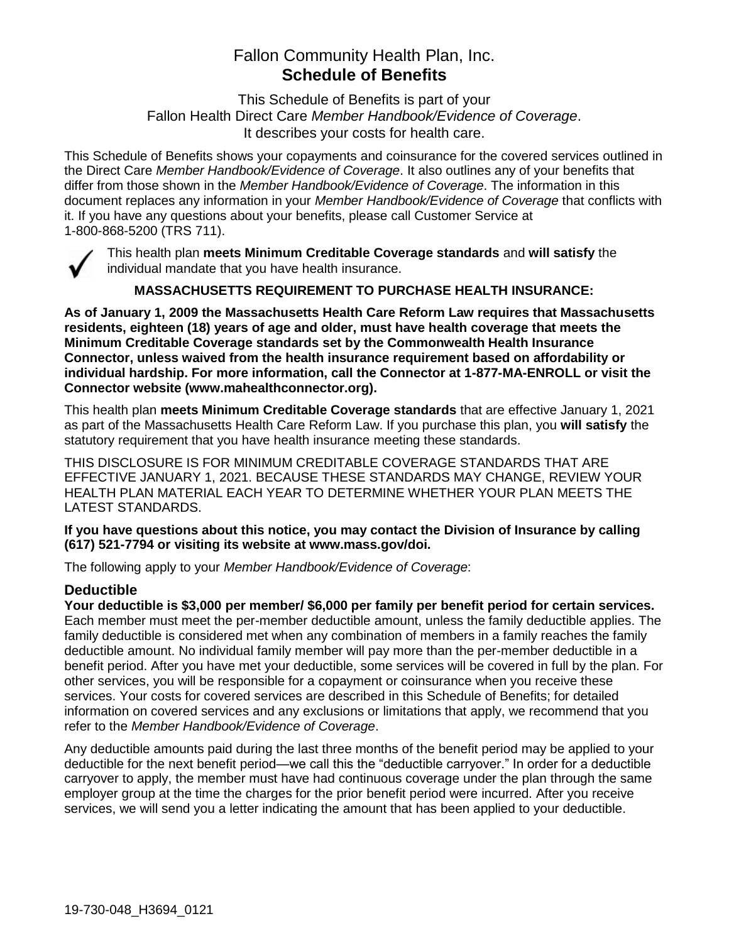# Fallon Community Health Plan, Inc. **Schedule of Benefits**

This Schedule of Benefits is part of your Fallon Health Direct Care *Member Handbook/Evidence of Coverage*. It describes your costs for health care.

This Schedule of Benefits shows your copayments and coinsurance for the covered services outlined in the Direct Care *Member Handbook/Evidence of Coverage*. It also outlines any of your benefits that differ from those shown in the *Member Handbook/Evidence of Coverage*. The information in this document replaces any information in your *Member Handbook/Evidence of Coverage* that conflicts with it. If you have any questions about your benefits, please call Customer Service at 1-800-868-5200 (TRS 711).



This health plan **meets Minimum Creditable Coverage standards** and **will satisfy** the individual mandate that you have health insurance.

**MASSACHUSETTS REQUIREMENT TO PURCHASE HEALTH INSURANCE:**

**As of January 1, 2009 the Massachusetts Health Care Reform Law requires that Massachusetts residents, eighteen (18) years of age and older, must have health coverage that meets the Minimum Creditable Coverage standards set by the Commonwealth Health Insurance Connector, unless waived from the health insurance requirement based on affordability or individual hardship. For more information, call the Connector at 1-877-MA-ENROLL or visit the Connector website (www.mahealthconnector.org).**

This health plan **meets Minimum Creditable Coverage standards** that are effective January 1, 2021 as part of the Massachusetts Health Care Reform Law. If you purchase this plan, you **will satisfy** the statutory requirement that you have health insurance meeting these standards.

THIS DISCLOSURE IS FOR MINIMUM CREDITABLE COVERAGE STANDARDS THAT ARE EFFECTIVE JANUARY 1, 2021. BECAUSE THESE STANDARDS MAY CHANGE, REVIEW YOUR HEALTH PLAN MATERIAL EACH YEAR TO DETERMINE WHETHER YOUR PLAN MEETS THE LATEST STANDARDS.

**If you have questions about this notice, you may contact the Division of Insurance by calling (617) 521-7794 or visiting its website at www.mass.gov/doi.** 

The following apply to your *Member Handbook/Evidence of Coverage*:

## **Deductible**

**Your deductible is \$3,000 per member/ \$6,000 per family per benefit period for certain services.** Each member must meet the per-member deductible amount, unless the family deductible applies. The family deductible is considered met when any combination of members in a family reaches the family deductible amount. No individual family member will pay more than the per-member deductible in a benefit period. After you have met your deductible, some services will be covered in full by the plan. For other services, you will be responsible for a copayment or coinsurance when you receive these services. Your costs for covered services are described in this Schedule of Benefits; for detailed information on covered services and any exclusions or limitations that apply, we recommend that you refer to the *Member Handbook/Evidence of Coverage*.

Any deductible amounts paid during the last three months of the benefit period may be applied to your deductible for the next benefit period—we call this the "deductible carryover." In order for a deductible carryover to apply, the member must have had continuous coverage under the plan through the same employer group at the time the charges for the prior benefit period were incurred. After you receive services, we will send you a letter indicating the amount that has been applied to your deductible.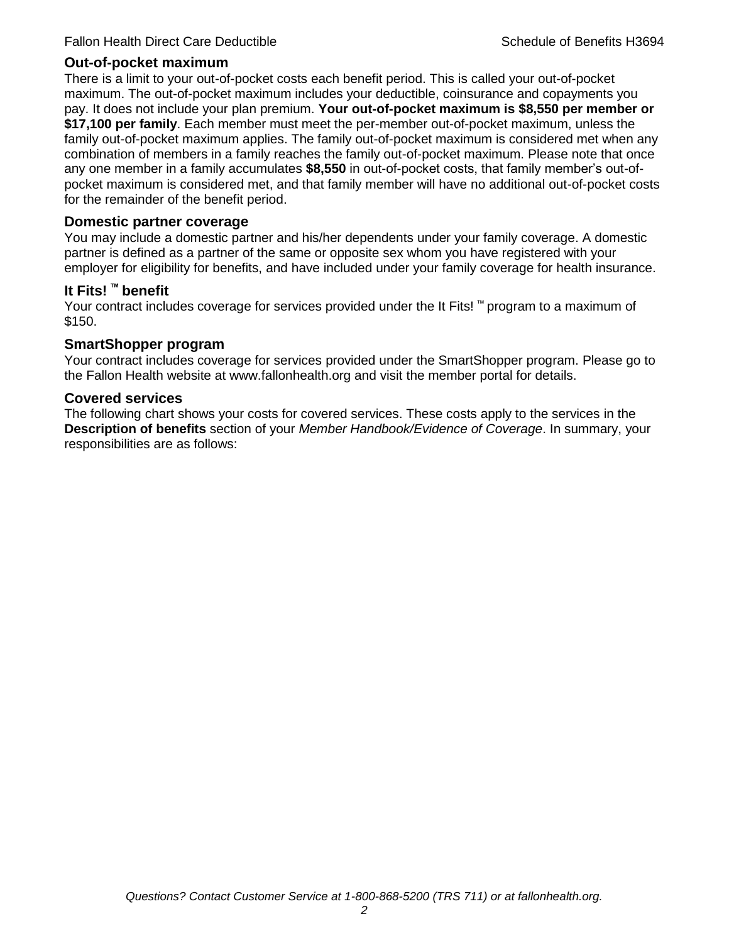#### **Out-of-pocket maximum**

There is a limit to your out-of-pocket costs each benefit period. This is called your out-of-pocket maximum. The out-of-pocket maximum includes your deductible, coinsurance and copayments you pay. It does not include your plan premium. **Your out-of-pocket maximum is \$8,550 per member or \$17,100 per family**. Each member must meet the per-member out-of-pocket maximum, unless the family out-of-pocket maximum applies. The family out-of-pocket maximum is considered met when any combination of members in a family reaches the family out-of-pocket maximum. Please note that once any one member in a family accumulates **\$8,550** in out-of-pocket costs, that family member's out-ofpocket maximum is considered met, and that family member will have no additional out-of-pocket costs for the remainder of the benefit period.

#### **Domestic partner coverage**

You may include a domestic partner and his/her dependents under your family coverage. A domestic partner is defined as a partner of the same or opposite sex whom you have registered with your employer for eligibility for benefits, and have included under your family coverage for health insurance.

#### **It Fits! ™ benefit**

Your contract includes coverage for services provided under the It Fits! ™ program to a maximum of \$150.

#### **SmartShopper program**

Your contract includes coverage for services provided under the SmartShopper program. Please go to the Fallon Health website at www.fallonhealth.org and visit the member portal for details.

#### **Covered services**

The following chart shows your costs for covered services. These costs apply to the services in the **Description of benefits** section of your *Member Handbook/Evidence of Coverage*. In summary, your responsibilities are as follows: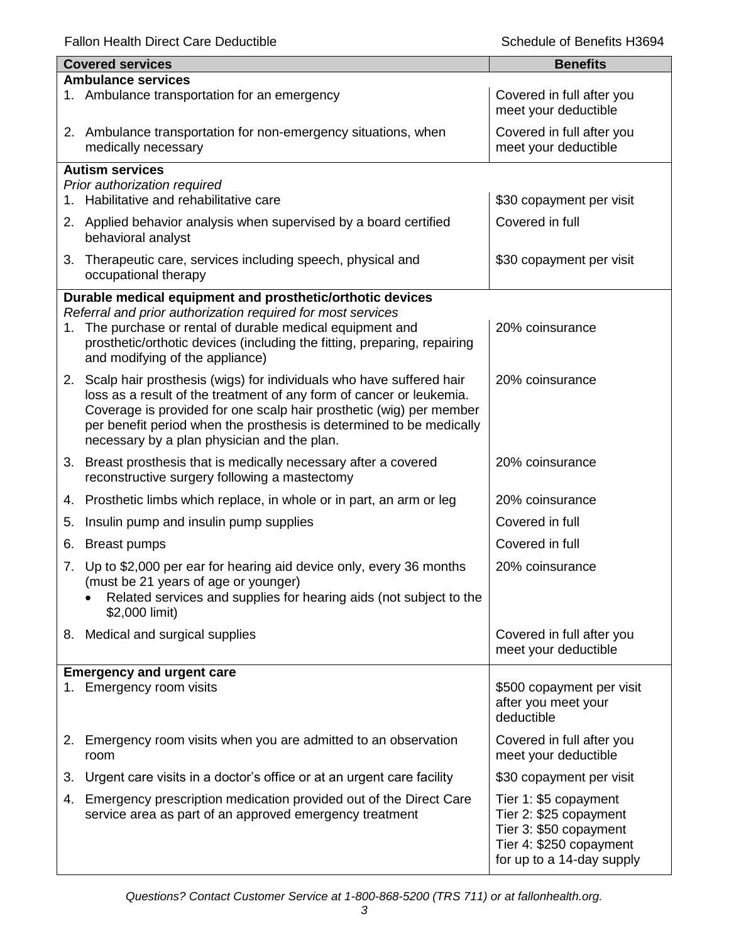Fallon Health Direct Care Deductible **Schedule of Benefits H3694** Schedule of Benefits H3694

|    | <b>Covered services</b>                                                                                                                                                | <b>Benefits</b>                                      |  |  |
|----|------------------------------------------------------------------------------------------------------------------------------------------------------------------------|------------------------------------------------------|--|--|
|    | <b>Ambulance services</b>                                                                                                                                              |                                                      |  |  |
|    | 1. Ambulance transportation for an emergency                                                                                                                           | Covered in full after you<br>meet your deductible    |  |  |
|    | 2. Ambulance transportation for non-emergency situations, when<br>medically necessary                                                                                  | Covered in full after you<br>meet your deductible    |  |  |
|    | <b>Autism services</b>                                                                                                                                                 |                                                      |  |  |
|    | Prior authorization required                                                                                                                                           |                                                      |  |  |
|    | 1. Habilitative and rehabilitative care                                                                                                                                | \$30 copayment per visit                             |  |  |
|    | 2. Applied behavior analysis when supervised by a board certified<br>behavioral analyst                                                                                | Covered in full                                      |  |  |
| 3. | Therapeutic care, services including speech, physical and<br>occupational therapy                                                                                      | \$30 copayment per visit                             |  |  |
|    | Durable medical equipment and prosthetic/orthotic devices                                                                                                              |                                                      |  |  |
|    | Referral and prior authorization required for most services                                                                                                            |                                                      |  |  |
| 1. | The purchase or rental of durable medical equipment and<br>prosthetic/orthotic devices (including the fitting, preparing, repairing<br>and modifying of the appliance) | 20% coinsurance                                      |  |  |
|    | 2. Scalp hair prosthesis (wigs) for individuals who have suffered hair                                                                                                 | 20% coinsurance                                      |  |  |
|    | loss as a result of the treatment of any form of cancer or leukemia.                                                                                                   |                                                      |  |  |
|    | Coverage is provided for one scalp hair prosthetic (wig) per member                                                                                                    |                                                      |  |  |
|    | per benefit period when the prosthesis is determined to be medically<br>necessary by a plan physician and the plan.                                                    |                                                      |  |  |
|    |                                                                                                                                                                        |                                                      |  |  |
|    | 3. Breast prosthesis that is medically necessary after a covered<br>reconstructive surgery following a mastectomy                                                      | 20% coinsurance                                      |  |  |
| 4. | Prosthetic limbs which replace, in whole or in part, an arm or leg                                                                                                     | 20% coinsurance                                      |  |  |
| 5. | Insulin pump and insulin pump supplies                                                                                                                                 | Covered in full                                      |  |  |
| 6. | <b>Breast pumps</b>                                                                                                                                                    | Covered in full                                      |  |  |
|    | 7. Up to \$2,000 per ear for hearing aid device only, every 36 months                                                                                                  | 20% coinsurance                                      |  |  |
|    | (must be 21 years of age or younger)                                                                                                                                   |                                                      |  |  |
|    | Related services and supplies for hearing aids (not subject to the                                                                                                     |                                                      |  |  |
|    | \$2,000 limit)                                                                                                                                                         |                                                      |  |  |
|    | 8. Medical and surgical supplies                                                                                                                                       | Covered in full after you                            |  |  |
|    |                                                                                                                                                                        | meet your deductible                                 |  |  |
|    | <b>Emergency and urgent care</b>                                                                                                                                       |                                                      |  |  |
|    | 1. Emergency room visits                                                                                                                                               | \$500 copayment per visit<br>after you meet your     |  |  |
|    |                                                                                                                                                                        | deductible                                           |  |  |
|    | 2. Emergency room visits when you are admitted to an observation                                                                                                       | Covered in full after you                            |  |  |
|    | room                                                                                                                                                                   | meet your deductible                                 |  |  |
| 3. | Urgent care visits in a doctor's office or at an urgent care facility                                                                                                  | \$30 copayment per visit                             |  |  |
| 4. | Emergency prescription medication provided out of the Direct Care                                                                                                      | Tier 1: \$5 copayment                                |  |  |
|    | service area as part of an approved emergency treatment                                                                                                                | Tier 2: \$25 copayment                               |  |  |
|    |                                                                                                                                                                        | Tier 3: \$50 copayment                               |  |  |
|    |                                                                                                                                                                        | Tier 4: \$250 copayment<br>for up to a 14-day supply |  |  |
|    |                                                                                                                                                                        |                                                      |  |  |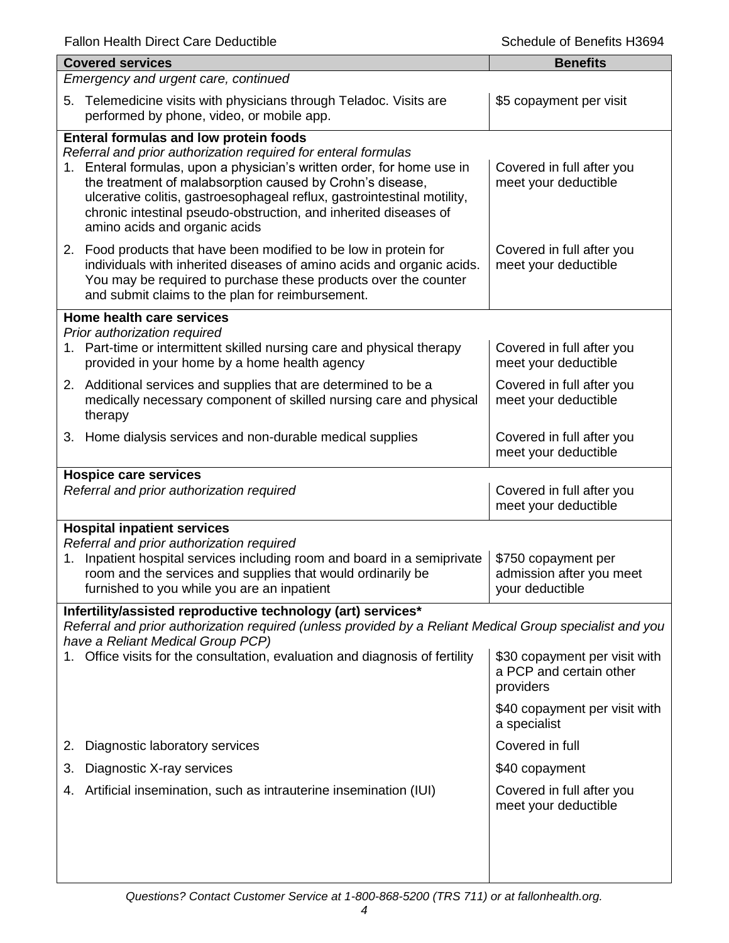| <b>Covered services</b>                                                                                                                                                                                                                                                                                                                                                                                                         | <b>Benefits</b>                                                       |  |  |
|---------------------------------------------------------------------------------------------------------------------------------------------------------------------------------------------------------------------------------------------------------------------------------------------------------------------------------------------------------------------------------------------------------------------------------|-----------------------------------------------------------------------|--|--|
| Emergency and urgent care, continued                                                                                                                                                                                                                                                                                                                                                                                            |                                                                       |  |  |
| Telemedicine visits with physicians through Teladoc. Visits are<br>5.<br>performed by phone, video, or mobile app.                                                                                                                                                                                                                                                                                                              | \$5 copayment per visit                                               |  |  |
| Enteral formulas and low protein foods<br>Referral and prior authorization required for enteral formulas<br>1. Enteral formulas, upon a physician's written order, for home use in<br>the treatment of malabsorption caused by Crohn's disease,<br>ulcerative colitis, gastroesophageal reflux, gastrointestinal motility,<br>chronic intestinal pseudo-obstruction, and inherited diseases of<br>amino acids and organic acids | Covered in full after you<br>meet your deductible                     |  |  |
| 2. Food products that have been modified to be low in protein for<br>individuals with inherited diseases of amino acids and organic acids.<br>You may be required to purchase these products over the counter<br>and submit claims to the plan for reimbursement.                                                                                                                                                               | Covered in full after you<br>meet your deductible                     |  |  |
| Home health care services                                                                                                                                                                                                                                                                                                                                                                                                       |                                                                       |  |  |
| Prior authorization required<br>1. Part-time or intermittent skilled nursing care and physical therapy<br>provided in your home by a home health agency                                                                                                                                                                                                                                                                         | Covered in full after you<br>meet your deductible                     |  |  |
| 2. Additional services and supplies that are determined to be a<br>medically necessary component of skilled nursing care and physical<br>therapy                                                                                                                                                                                                                                                                                | Covered in full after you<br>meet your deductible                     |  |  |
| 3. Home dialysis services and non-durable medical supplies                                                                                                                                                                                                                                                                                                                                                                      | Covered in full after you<br>meet your deductible                     |  |  |
| <b>Hospice care services</b><br>Referral and prior authorization required                                                                                                                                                                                                                                                                                                                                                       | Covered in full after you<br>meet your deductible                     |  |  |
| <b>Hospital inpatient services</b>                                                                                                                                                                                                                                                                                                                                                                                              |                                                                       |  |  |
| Referral and prior authorization required<br>Inpatient hospital services including room and board in a semiprivate<br>1.<br>room and the services and supplies that would ordinarily be<br>furnished to you while you are an inpatient                                                                                                                                                                                          | \$750 copayment per<br>admission after you meet<br>your deductible    |  |  |
| Infertility/assisted reproductive technology (art) services*<br>Referral and prior authorization required (unless provided by a Reliant Medical Group specialist and you<br>have a Reliant Medical Group PCP)                                                                                                                                                                                                                   |                                                                       |  |  |
| Office visits for the consultation, evaluation and diagnosis of fertility                                                                                                                                                                                                                                                                                                                                                       | \$30 copayment per visit with<br>a PCP and certain other<br>providers |  |  |
|                                                                                                                                                                                                                                                                                                                                                                                                                                 | \$40 copayment per visit with<br>a specialist                         |  |  |
| Diagnostic laboratory services<br>2.                                                                                                                                                                                                                                                                                                                                                                                            | Covered in full                                                       |  |  |
| Diagnostic X-ray services<br>3.                                                                                                                                                                                                                                                                                                                                                                                                 | \$40 copayment                                                        |  |  |
| Artificial insemination, such as intrauterine insemination (IUI)<br>4.                                                                                                                                                                                                                                                                                                                                                          | Covered in full after you<br>meet your deductible                     |  |  |
|                                                                                                                                                                                                                                                                                                                                                                                                                                 |                                                                       |  |  |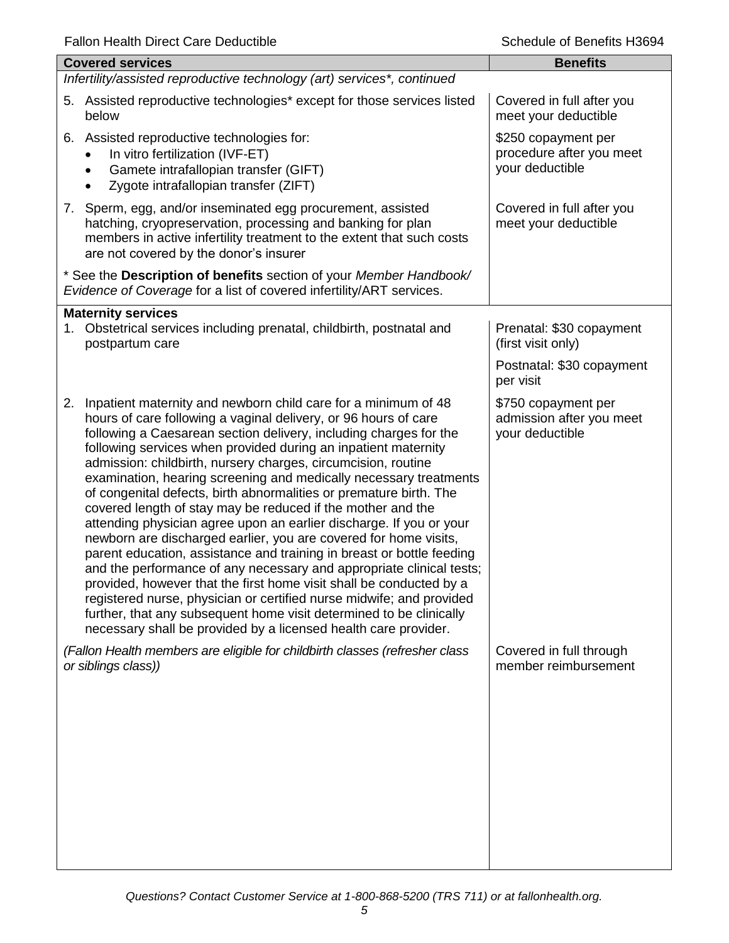| <b>Benefits</b>                                                    |
|--------------------------------------------------------------------|
|                                                                    |
| Covered in full after you<br>meet your deductible                  |
| \$250 copayment per<br>procedure after you meet<br>your deductible |
| Covered in full after you<br>meet your deductible                  |
|                                                                    |
|                                                                    |
| Prenatal: \$30 copayment<br>(first visit only)                     |
| Postnatal: \$30 copayment<br>per visit                             |
| \$750 copayment per<br>admission after you meet<br>your deductible |
| Covered in full through<br>member reimbursement                    |
|                                                                    |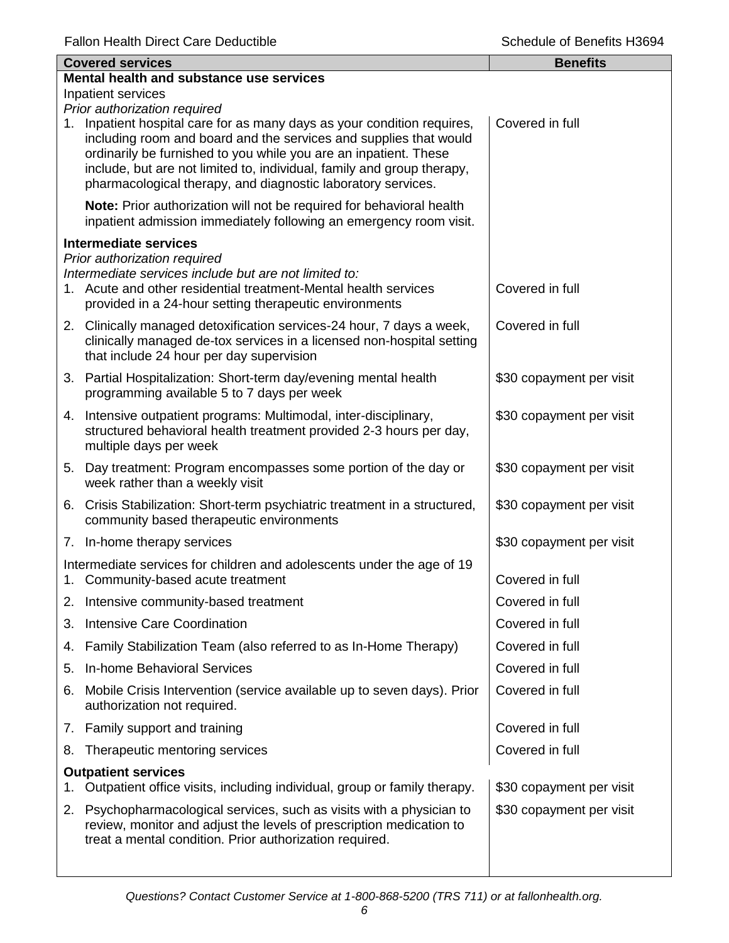| <b>Covered services</b>                  |                                                                                                                                                                                                                                                                                                                                                         | <b>Benefits</b>          |  |
|------------------------------------------|---------------------------------------------------------------------------------------------------------------------------------------------------------------------------------------------------------------------------------------------------------------------------------------------------------------------------------------------------------|--------------------------|--|
| Mental health and substance use services |                                                                                                                                                                                                                                                                                                                                                         |                          |  |
|                                          | Inpatient services<br>Prior authorization required                                                                                                                                                                                                                                                                                                      |                          |  |
| 1.                                       | Inpatient hospital care for as many days as your condition requires,<br>including room and board and the services and supplies that would<br>ordinarily be furnished to you while you are an inpatient. These<br>include, but are not limited to, individual, family and group therapy,<br>pharmacological therapy, and diagnostic laboratory services. | Covered in full          |  |
|                                          | Note: Prior authorization will not be required for behavioral health<br>inpatient admission immediately following an emergency room visit.                                                                                                                                                                                                              |                          |  |
|                                          | <b>Intermediate services</b>                                                                                                                                                                                                                                                                                                                            |                          |  |
|                                          | Prior authorization required<br>Intermediate services include but are not limited to:<br>1. Acute and other residential treatment-Mental health services<br>provided in a 24-hour setting therapeutic environments                                                                                                                                      | Covered in full          |  |
|                                          | 2. Clinically managed detoxification services-24 hour, 7 days a week,<br>clinically managed de-tox services in a licensed non-hospital setting<br>that include 24 hour per day supervision                                                                                                                                                              | Covered in full          |  |
|                                          | 3. Partial Hospitalization: Short-term day/evening mental health<br>programming available 5 to 7 days per week                                                                                                                                                                                                                                          | \$30 copayment per visit |  |
|                                          | 4. Intensive outpatient programs: Multimodal, inter-disciplinary,<br>structured behavioral health treatment provided 2-3 hours per day,<br>multiple days per week                                                                                                                                                                                       | \$30 copayment per visit |  |
|                                          | 5. Day treatment: Program encompasses some portion of the day or<br>week rather than a weekly visit                                                                                                                                                                                                                                                     | \$30 copayment per visit |  |
|                                          | 6. Crisis Stabilization: Short-term psychiatric treatment in a structured,<br>community based therapeutic environments                                                                                                                                                                                                                                  | \$30 copayment per visit |  |
|                                          | 7. In-home therapy services                                                                                                                                                                                                                                                                                                                             | \$30 copayment per visit |  |
| 1.                                       | Intermediate services for children and adolescents under the age of 19<br>Community-based acute treatment                                                                                                                                                                                                                                               | Covered in full          |  |
|                                          | 2. Intensive community-based treatment                                                                                                                                                                                                                                                                                                                  | Covered in full          |  |
| 3.                                       | <b>Intensive Care Coordination</b>                                                                                                                                                                                                                                                                                                                      | Covered in full          |  |
| 4.                                       | Family Stabilization Team (also referred to as In-Home Therapy)                                                                                                                                                                                                                                                                                         | Covered in full          |  |
| 5.                                       | <b>In-home Behavioral Services</b>                                                                                                                                                                                                                                                                                                                      | Covered in full          |  |
| 6.                                       | Mobile Crisis Intervention (service available up to seven days). Prior<br>authorization not required.                                                                                                                                                                                                                                                   | Covered in full          |  |
|                                          | 7. Family support and training                                                                                                                                                                                                                                                                                                                          | Covered in full          |  |
| 8.                                       | Therapeutic mentoring services                                                                                                                                                                                                                                                                                                                          | Covered in full          |  |
| 1.                                       | <b>Outpatient services</b><br>Outpatient office visits, including individual, group or family therapy.                                                                                                                                                                                                                                                  | \$30 copayment per visit |  |
| 2.                                       | Psychopharmacological services, such as visits with a physician to<br>review, monitor and adjust the levels of prescription medication to<br>treat a mental condition. Prior authorization required.                                                                                                                                                    | \$30 copayment per visit |  |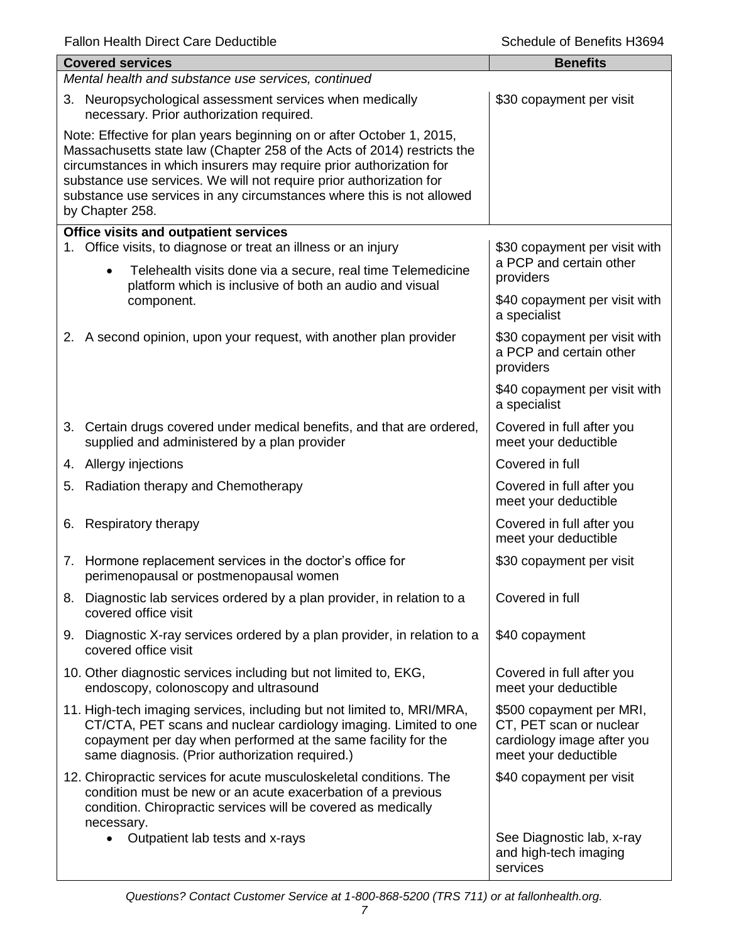| <b>Covered services</b>                                                                                                                                                                                                                                                                                                                                                                    | <b>Benefits</b>                                                                                           |
|--------------------------------------------------------------------------------------------------------------------------------------------------------------------------------------------------------------------------------------------------------------------------------------------------------------------------------------------------------------------------------------------|-----------------------------------------------------------------------------------------------------------|
| Mental health and substance use services, continued                                                                                                                                                                                                                                                                                                                                        |                                                                                                           |
| 3. Neuropsychological assessment services when medically<br>necessary. Prior authorization required.                                                                                                                                                                                                                                                                                       | \$30 copayment per visit                                                                                  |
| Note: Effective for plan years beginning on or after October 1, 2015,<br>Massachusetts state law (Chapter 258 of the Acts of 2014) restricts the<br>circumstances in which insurers may require prior authorization for<br>substance use services. We will not require prior authorization for<br>substance use services in any circumstances where this is not allowed<br>by Chapter 258. |                                                                                                           |
| <b>Office visits and outpatient services</b>                                                                                                                                                                                                                                                                                                                                               |                                                                                                           |
| 1. Office visits, to diagnose or treat an illness or an injury<br>Telehealth visits done via a secure, real time Telemedicine<br>$\bullet$                                                                                                                                                                                                                                                 | \$30 copayment per visit with<br>a PCP and certain other<br>providers                                     |
| platform which is inclusive of both an audio and visual<br>component.                                                                                                                                                                                                                                                                                                                      | \$40 copayment per visit with<br>a specialist                                                             |
| 2. A second opinion, upon your request, with another plan provider                                                                                                                                                                                                                                                                                                                         | \$30 copayment per visit with<br>a PCP and certain other<br>providers                                     |
|                                                                                                                                                                                                                                                                                                                                                                                            | \$40 copayment per visit with<br>a specialist                                                             |
| 3. Certain drugs covered under medical benefits, and that are ordered,<br>supplied and administered by a plan provider                                                                                                                                                                                                                                                                     | Covered in full after you<br>meet your deductible                                                         |
| 4. Allergy injections                                                                                                                                                                                                                                                                                                                                                                      | Covered in full                                                                                           |
| Radiation therapy and Chemotherapy<br>5.                                                                                                                                                                                                                                                                                                                                                   | Covered in full after you<br>meet your deductible                                                         |
| Respiratory therapy<br>6.                                                                                                                                                                                                                                                                                                                                                                  | Covered in full after you<br>meet your deductible                                                         |
| Hormone replacement services in the doctor's office for<br>7.<br>perimenopausal or postmenopausal women                                                                                                                                                                                                                                                                                    | \$30 copayment per visit                                                                                  |
| 8. Diagnostic lab services ordered by a plan provider, in relation to a<br>covered office visit                                                                                                                                                                                                                                                                                            | Covered in full                                                                                           |
| 9. Diagnostic X-ray services ordered by a plan provider, in relation to a<br>covered office visit                                                                                                                                                                                                                                                                                          | \$40 copayment                                                                                            |
| 10. Other diagnostic services including but not limited to, EKG,<br>endoscopy, colonoscopy and ultrasound                                                                                                                                                                                                                                                                                  | Covered in full after you<br>meet your deductible                                                         |
| 11. High-tech imaging services, including but not limited to, MRI/MRA,<br>CT/CTA, PET scans and nuclear cardiology imaging. Limited to one<br>copayment per day when performed at the same facility for the<br>same diagnosis. (Prior authorization required.)                                                                                                                             | \$500 copayment per MRI,<br>CT, PET scan or nuclear<br>cardiology image after you<br>meet your deductible |
| 12. Chiropractic services for acute musculoskeletal conditions. The<br>condition must be new or an acute exacerbation of a previous<br>condition. Chiropractic services will be covered as medically<br>necessary.                                                                                                                                                                         | \$40 copayment per visit                                                                                  |
| Outpatient lab tests and x-rays<br>$\bullet$                                                                                                                                                                                                                                                                                                                                               | See Diagnostic lab, x-ray<br>and high-tech imaging<br>services                                            |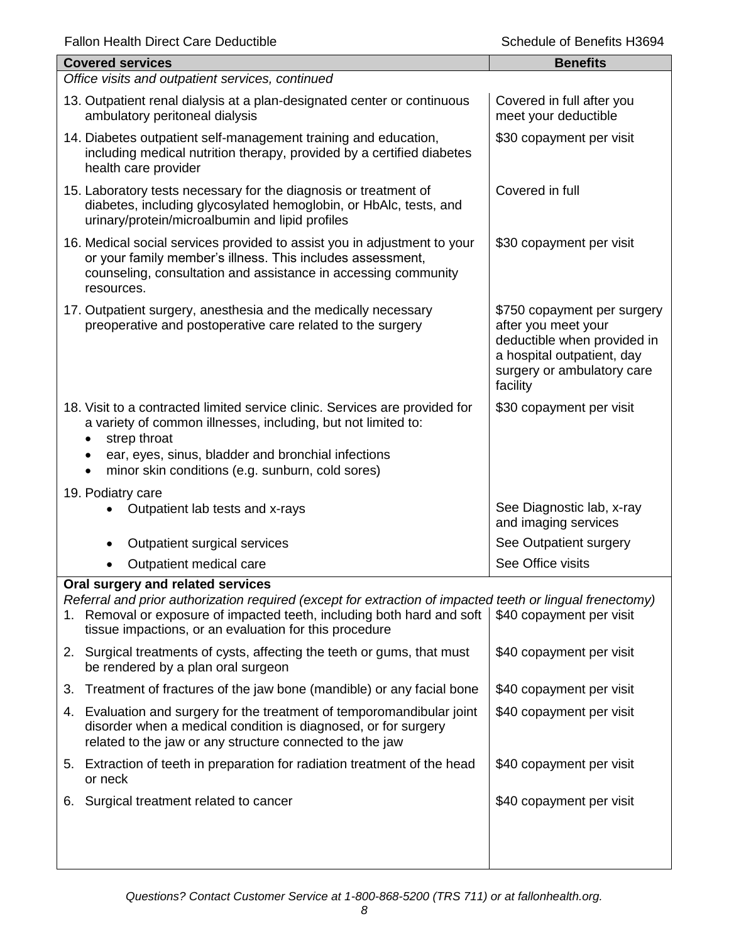| <b>Covered services</b>                                                                                                                                                                                                                                                            | <b>Benefits</b>                                                                                                                                           |
|------------------------------------------------------------------------------------------------------------------------------------------------------------------------------------------------------------------------------------------------------------------------------------|-----------------------------------------------------------------------------------------------------------------------------------------------------------|
| Office visits and outpatient services, continued                                                                                                                                                                                                                                   |                                                                                                                                                           |
| 13. Outpatient renal dialysis at a plan-designated center or continuous<br>ambulatory peritoneal dialysis                                                                                                                                                                          | Covered in full after you<br>meet your deductible                                                                                                         |
| 14. Diabetes outpatient self-management training and education,<br>including medical nutrition therapy, provided by a certified diabetes<br>health care provider                                                                                                                   | \$30 copayment per visit                                                                                                                                  |
| 15. Laboratory tests necessary for the diagnosis or treatment of<br>diabetes, including glycosylated hemoglobin, or HbAlc, tests, and<br>urinary/protein/microalbumin and lipid profiles                                                                                           | Covered in full                                                                                                                                           |
| 16. Medical social services provided to assist you in adjustment to your<br>or your family member's illness. This includes assessment,<br>counseling, consultation and assistance in accessing community<br>resources.                                                             | \$30 copayment per visit                                                                                                                                  |
| 17. Outpatient surgery, anesthesia and the medically necessary<br>preoperative and postoperative care related to the surgery                                                                                                                                                       | \$750 copayment per surgery<br>after you meet your<br>deductible when provided in<br>a hospital outpatient, day<br>surgery or ambulatory care<br>facility |
| 18. Visit to a contracted limited service clinic. Services are provided for<br>a variety of common illnesses, including, but not limited to:<br>strep throat<br>ear, eyes, sinus, bladder and bronchial infections<br>minor skin conditions (e.g. sunburn, cold sores)             | \$30 copayment per visit                                                                                                                                  |
| 19. Podiatry care<br>Outpatient lab tests and x-rays                                                                                                                                                                                                                               | See Diagnostic lab, x-ray<br>and imaging services                                                                                                         |
| Outpatient surgical services                                                                                                                                                                                                                                                       | See Outpatient surgery                                                                                                                                    |
| Outpatient medical care                                                                                                                                                                                                                                                            | See Office visits                                                                                                                                         |
| Oral surgery and related services<br>Referral and prior authorization required (except for extraction of impacted teeth or lingual frenectomy)<br>1. Removal or exposure of impacted teeth, including both hard and soft<br>tissue impactions, or an evaluation for this procedure | \$40 copayment per visit                                                                                                                                  |
| 2. Surgical treatments of cysts, affecting the teeth or gums, that must<br>be rendered by a plan oral surgeon                                                                                                                                                                      | \$40 copayment per visit                                                                                                                                  |
| Treatment of fractures of the jaw bone (mandible) or any facial bone<br>3.                                                                                                                                                                                                         | \$40 copayment per visit                                                                                                                                  |
| 4. Evaluation and surgery for the treatment of temporomandibular joint<br>disorder when a medical condition is diagnosed, or for surgery<br>related to the jaw or any structure connected to the jaw                                                                               | \$40 copayment per visit                                                                                                                                  |
| 5. Extraction of teeth in preparation for radiation treatment of the head<br>or neck                                                                                                                                                                                               | \$40 copayment per visit                                                                                                                                  |
| 6. Surgical treatment related to cancer                                                                                                                                                                                                                                            | \$40 copayment per visit                                                                                                                                  |
|                                                                                                                                                                                                                                                                                    |                                                                                                                                                           |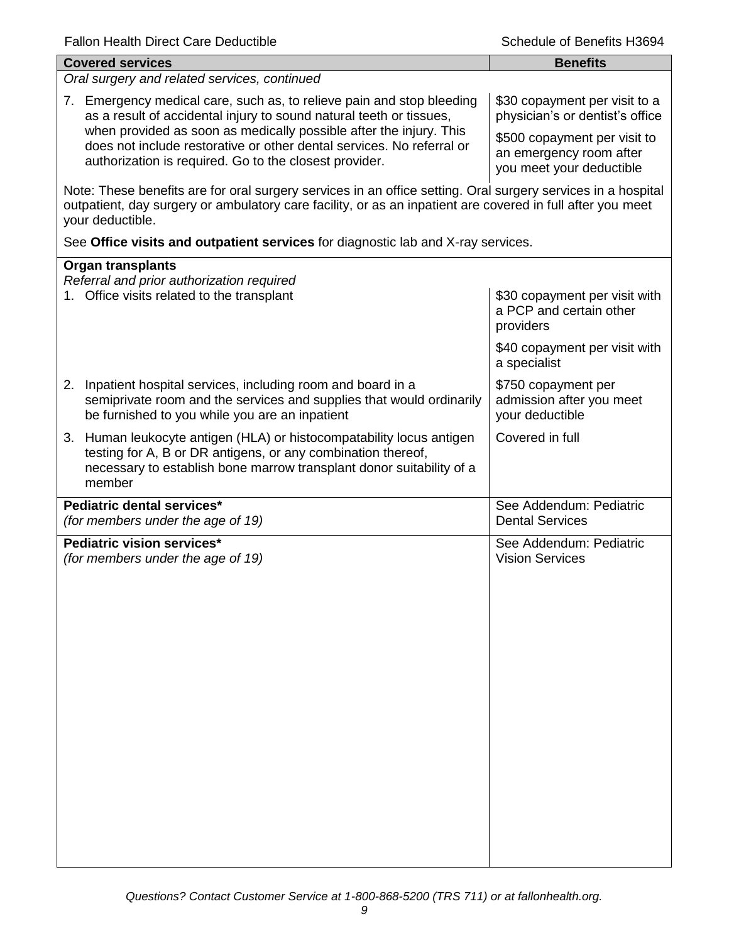| <b>Covered services</b>                                                                                                                                                                                                                        | <b>Benefits</b>                                                                     |
|------------------------------------------------------------------------------------------------------------------------------------------------------------------------------------------------------------------------------------------------|-------------------------------------------------------------------------------------|
| Oral surgery and related services, continued                                                                                                                                                                                                   |                                                                                     |
| 7. Emergency medical care, such as, to relieve pain and stop bleeding<br>as a result of accidental injury to sound natural teeth or tissues,                                                                                                   | \$30 copayment per visit to a<br>physician's or dentist's office                    |
| when provided as soon as medically possible after the injury. This<br>does not include restorative or other dental services. No referral or<br>authorization is required. Go to the closest provider.                                          | \$500 copayment per visit to<br>an emergency room after<br>you meet your deductible |
| Note: These benefits are for oral surgery services in an office setting. Oral surgery services in a hospital<br>outpatient, day surgery or ambulatory care facility, or as an inpatient are covered in full after you meet<br>your deductible. |                                                                                     |
| See Office visits and outpatient services for diagnostic lab and X-ray services.                                                                                                                                                               |                                                                                     |
| <b>Organ transplants</b>                                                                                                                                                                                                                       |                                                                                     |
| Referral and prior authorization required<br>1. Office visits related to the transplant                                                                                                                                                        | \$30 copayment per visit with<br>a PCP and certain other<br>providers               |
|                                                                                                                                                                                                                                                | \$40 copayment per visit with<br>a specialist                                       |
| Inpatient hospital services, including room and board in a<br>2.<br>semiprivate room and the services and supplies that would ordinarily<br>be furnished to you while you are an inpatient                                                     | \$750 copayment per<br>admission after you meet<br>your deductible                  |
| 3. Human leukocyte antigen (HLA) or histocompatability locus antigen<br>testing for A, B or DR antigens, or any combination thereof,<br>necessary to establish bone marrow transplant donor suitability of a<br>member                         | Covered in full                                                                     |
| Pediatric dental services*<br>(for members under the age of 19)                                                                                                                                                                                | See Addendum: Pediatric<br><b>Dental Services</b>                                   |
| Pediatric vision services*<br>(for members under the age of 19)                                                                                                                                                                                | See Addendum: Pediatric<br><b>Vision Services</b>                                   |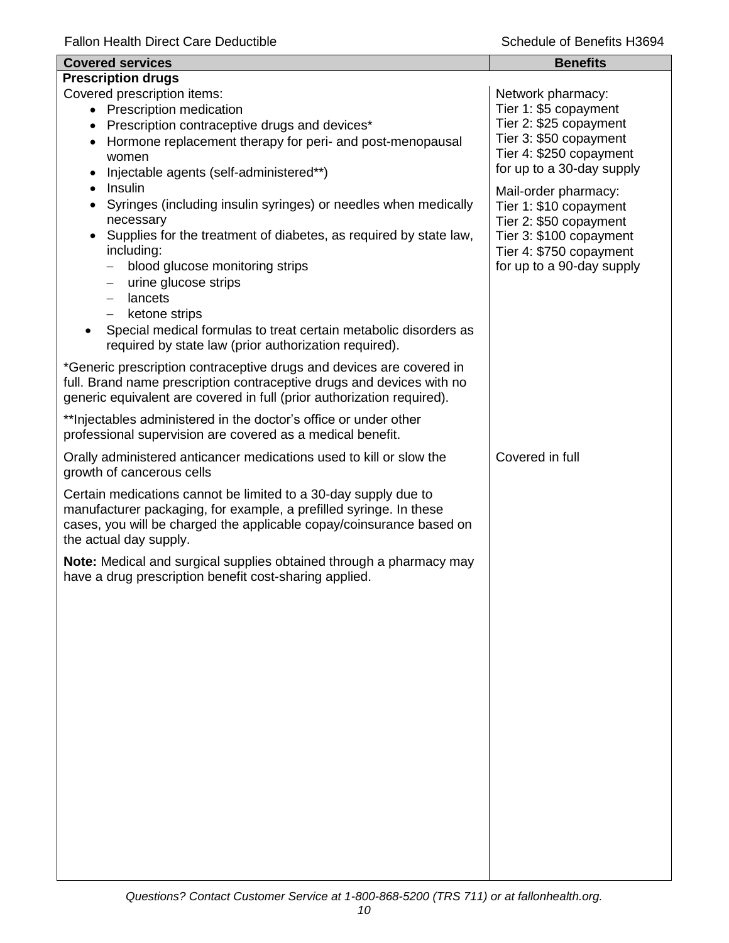| <b>Covered services</b>                                                                                                                                                                                                                                                                                                                                                                                                              | <b>Benefits</b>                                                                                                                                             |
|--------------------------------------------------------------------------------------------------------------------------------------------------------------------------------------------------------------------------------------------------------------------------------------------------------------------------------------------------------------------------------------------------------------------------------------|-------------------------------------------------------------------------------------------------------------------------------------------------------------|
| <b>Prescription drugs</b>                                                                                                                                                                                                                                                                                                                                                                                                            |                                                                                                                                                             |
| Covered prescription items:<br>• Prescription medication<br>Prescription contraceptive drugs and devices*<br>$\bullet$<br>Hormone replacement therapy for peri- and post-menopausal<br>$\bullet$<br>women<br>Injectable agents (self-administered**)                                                                                                                                                                                 | Network pharmacy:<br>Tier 1: \$5 copayment<br>Tier 2: \$25 copayment<br>Tier 3: \$50 copayment<br>Tier 4: \$250 copayment<br>for up to a 30-day supply      |
| Insulin<br>$\bullet$<br>Syringes (including insulin syringes) or needles when medically<br>necessary<br>Supplies for the treatment of diabetes, as required by state law,<br>$\bullet$<br>including:<br>blood glucose monitoring strips<br>urine glucose strips<br>—<br>lancets<br>ketone strips<br>$-$<br>Special medical formulas to treat certain metabolic disorders as<br>required by state law (prior authorization required). | Mail-order pharmacy:<br>Tier 1: \$10 copayment<br>Tier 2: \$50 copayment<br>Tier 3: \$100 copayment<br>Tier 4: \$750 copayment<br>for up to a 90-day supply |
| *Generic prescription contraceptive drugs and devices are covered in<br>full. Brand name prescription contraceptive drugs and devices with no<br>generic equivalent are covered in full (prior authorization required).                                                                                                                                                                                                              |                                                                                                                                                             |
| ** Injectables administered in the doctor's office or under other<br>professional supervision are covered as a medical benefit.                                                                                                                                                                                                                                                                                                      |                                                                                                                                                             |
| Orally administered anticancer medications used to kill or slow the<br>growth of cancerous cells                                                                                                                                                                                                                                                                                                                                     | Covered in full                                                                                                                                             |
| Certain medications cannot be limited to a 30-day supply due to<br>manufacturer packaging, for example, a prefilled syringe. In these<br>cases, you will be charged the applicable copay/coinsurance based on<br>the actual day supply.                                                                                                                                                                                              |                                                                                                                                                             |
| Note: Medical and surgical supplies obtained through a pharmacy may<br>have a drug prescription benefit cost-sharing applied.                                                                                                                                                                                                                                                                                                        |                                                                                                                                                             |
|                                                                                                                                                                                                                                                                                                                                                                                                                                      |                                                                                                                                                             |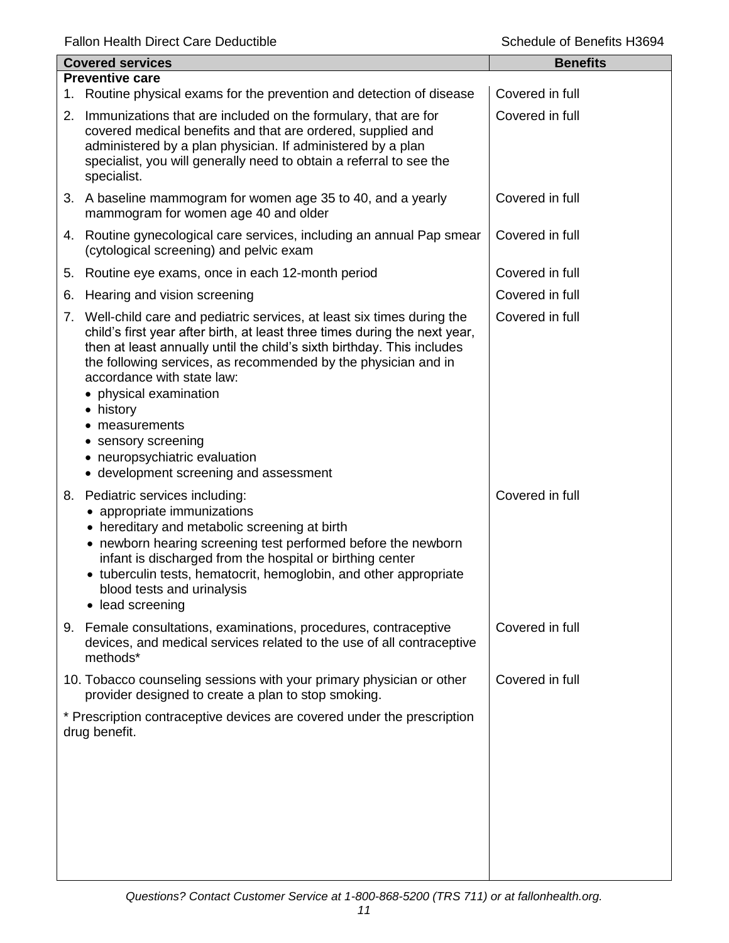| <b>Covered services</b> |                                                                                                                                                                                                                                                                                                                                                                                                                                                                                         | <b>Benefits</b> |
|-------------------------|-----------------------------------------------------------------------------------------------------------------------------------------------------------------------------------------------------------------------------------------------------------------------------------------------------------------------------------------------------------------------------------------------------------------------------------------------------------------------------------------|-----------------|
|                         | <b>Preventive care</b><br>1. Routine physical exams for the prevention and detection of disease                                                                                                                                                                                                                                                                                                                                                                                         | Covered in full |
|                         | 2. Immunizations that are included on the formulary, that are for<br>covered medical benefits and that are ordered, supplied and<br>administered by a plan physician. If administered by a plan<br>specialist, you will generally need to obtain a referral to see the<br>specialist.                                                                                                                                                                                                   | Covered in full |
|                         | 3. A baseline mammogram for women age 35 to 40, and a yearly<br>mammogram for women age 40 and older                                                                                                                                                                                                                                                                                                                                                                                    | Covered in full |
|                         | 4. Routine gynecological care services, including an annual Pap smear<br>(cytological screening) and pelvic exam                                                                                                                                                                                                                                                                                                                                                                        | Covered in full |
|                         | 5. Routine eye exams, once in each 12-month period                                                                                                                                                                                                                                                                                                                                                                                                                                      | Covered in full |
| 6.                      | Hearing and vision screening                                                                                                                                                                                                                                                                                                                                                                                                                                                            | Covered in full |
|                         | 7. Well-child care and pediatric services, at least six times during the<br>child's first year after birth, at least three times during the next year,<br>then at least annually until the child's sixth birthday. This includes<br>the following services, as recommended by the physician and in<br>accordance with state law:<br>• physical examination<br>• history<br>measurements<br>sensory screening<br>• neuropsychiatric evaluation<br>• development screening and assessment | Covered in full |
|                         | 8. Pediatric services including:<br>• appropriate immunizations<br>• hereditary and metabolic screening at birth<br>• newborn hearing screening test performed before the newborn<br>infant is discharged from the hospital or birthing center<br>• tuberculin tests, hematocrit, hemoglobin, and other appropriate<br>blood tests and urinalysis<br>• lead screening                                                                                                                   | Covered in full |
|                         | 9. Female consultations, examinations, procedures, contraceptive<br>devices, and medical services related to the use of all contraceptive<br>methods*                                                                                                                                                                                                                                                                                                                                   | Covered in full |
|                         | 10. Tobacco counseling sessions with your primary physician or other<br>provider designed to create a plan to stop smoking.                                                                                                                                                                                                                                                                                                                                                             | Covered in full |
|                         | * Prescription contraceptive devices are covered under the prescription<br>drug benefit.                                                                                                                                                                                                                                                                                                                                                                                                |                 |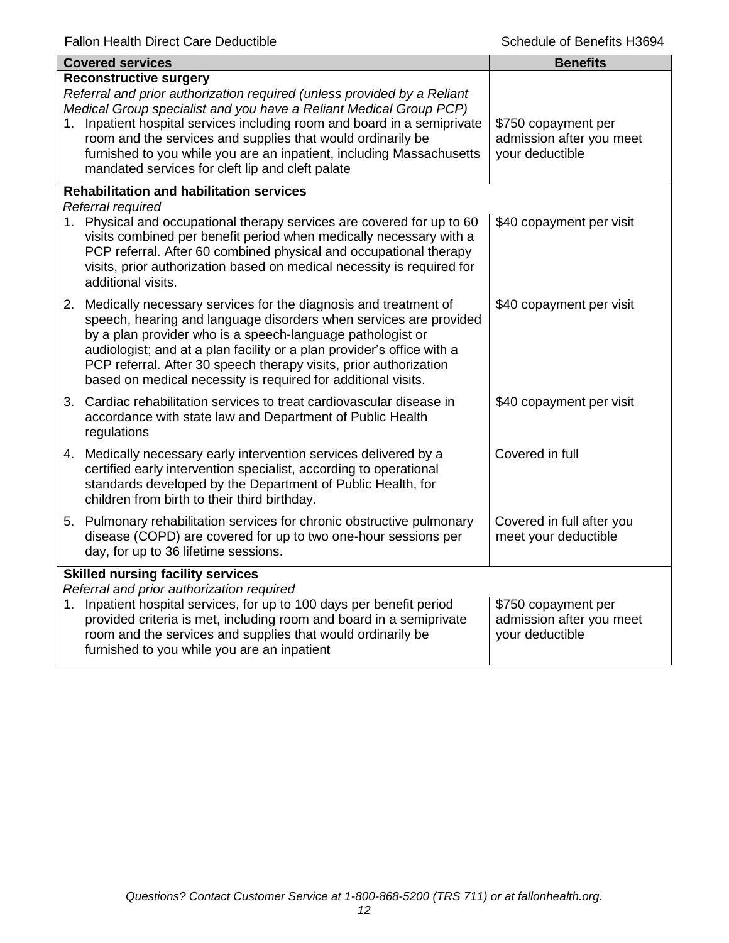|                                                                                       | <b>Covered services</b>                                                                                                                                                                                                                                                                                                                                                                                                                               | <b>Benefits</b>                                                    |
|---------------------------------------------------------------------------------------|-------------------------------------------------------------------------------------------------------------------------------------------------------------------------------------------------------------------------------------------------------------------------------------------------------------------------------------------------------------------------------------------------------------------------------------------------------|--------------------------------------------------------------------|
|                                                                                       | <b>Reconstructive surgery</b><br>Referral and prior authorization required (unless provided by a Reliant<br>Medical Group specialist and you have a Reliant Medical Group PCP)<br>1. Inpatient hospital services including room and board in a semiprivate<br>room and the services and supplies that would ordinarily be<br>furnished to you while you are an inpatient, including Massachusetts<br>mandated services for cleft lip and cleft palate | \$750 copayment per<br>admission after you meet<br>your deductible |
|                                                                                       | <b>Rehabilitation and habilitation services</b><br>Referral required                                                                                                                                                                                                                                                                                                                                                                                  |                                                                    |
|                                                                                       | 1. Physical and occupational therapy services are covered for up to 60<br>visits combined per benefit period when medically necessary with a<br>PCP referral. After 60 combined physical and occupational therapy<br>visits, prior authorization based on medical necessity is required for<br>additional visits.                                                                                                                                     | \$40 copayment per visit                                           |
|                                                                                       | 2. Medically necessary services for the diagnosis and treatment of<br>speech, hearing and language disorders when services are provided<br>by a plan provider who is a speech-language pathologist or<br>audiologist; and at a plan facility or a plan provider's office with a<br>PCP referral. After 30 speech therapy visits, prior authorization<br>based on medical necessity is required for additional visits.                                 | \$40 copayment per visit                                           |
|                                                                                       | 3. Cardiac rehabilitation services to treat cardiovascular disease in<br>accordance with state law and Department of Public Health<br>regulations                                                                                                                                                                                                                                                                                                     | \$40 copayment per visit                                           |
|                                                                                       | 4. Medically necessary early intervention services delivered by a<br>certified early intervention specialist, according to operational<br>standards developed by the Department of Public Health, for<br>children from birth to their third birthday.                                                                                                                                                                                                 | Covered in full                                                    |
|                                                                                       | 5. Pulmonary rehabilitation services for chronic obstructive pulmonary<br>disease (COPD) are covered for up to two one-hour sessions per<br>day, for up to 36 lifetime sessions.                                                                                                                                                                                                                                                                      | Covered in full after you<br>meet your deductible                  |
| <b>Skilled nursing facility services</b><br>Referral and prior authorization required |                                                                                                                                                                                                                                                                                                                                                                                                                                                       |                                                                    |
| 1.                                                                                    | Inpatient hospital services, for up to 100 days per benefit period<br>provided criteria is met, including room and board in a semiprivate<br>room and the services and supplies that would ordinarily be<br>furnished to you while you are an inpatient                                                                                                                                                                                               | \$750 copayment per<br>admission after you meet<br>your deductible |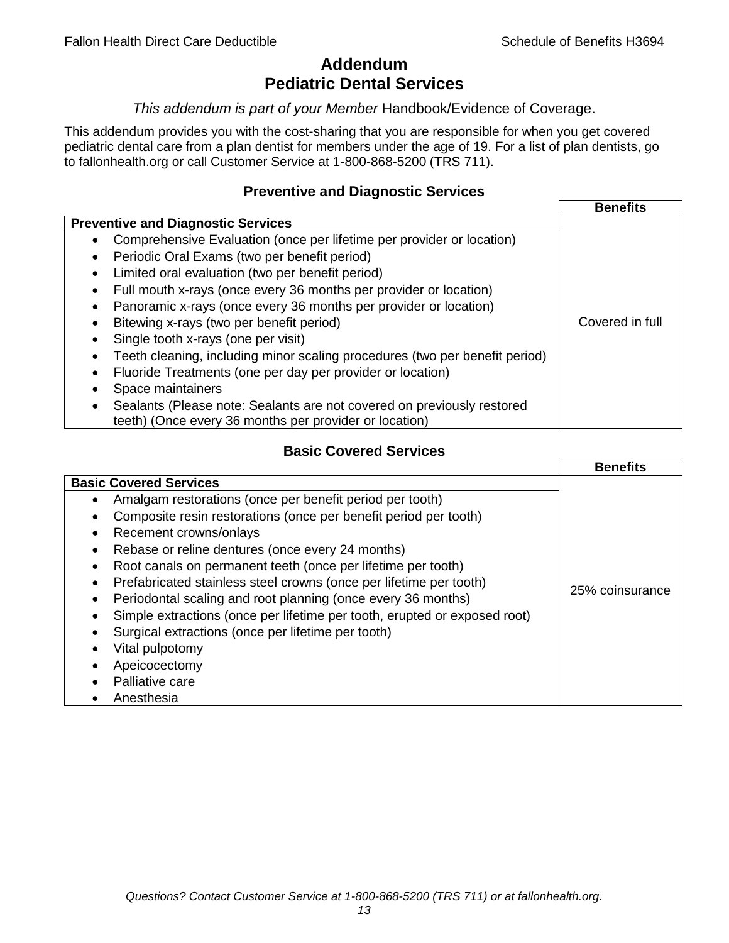# **Addendum Pediatric Dental Services**

## *This addendum is part of your Member* Handbook/Evidence of Coverage.

This addendum provides you with the cost-sharing that you are responsible for when you get covered pediatric dental care from a plan dentist for members under the age of 19. For a list of plan dentists, go to fallonhealth.org or call Customer Service at 1-800-868-5200 (TRS 711).

## **Preventive and Diagnostic Services**

|                                                                                    | <b>Benefits</b> |
|------------------------------------------------------------------------------------|-----------------|
| <b>Preventive and Diagnostic Services</b>                                          |                 |
| Comprehensive Evaluation (once per lifetime per provider or location)<br>$\bullet$ |                 |
| Periodic Oral Exams (two per benefit period)<br>$\bullet$                          |                 |
| Limited oral evaluation (two per benefit period)<br>$\bullet$                      |                 |
| Full mouth x-rays (once every 36 months per provider or location)                  |                 |
| Panoramic x-rays (once every 36 months per provider or location)                   |                 |
| Bitewing x-rays (two per benefit period)<br>٠                                      | Covered in full |
| Single tooth x-rays (one per visit)                                                |                 |
| Teeth cleaning, including minor scaling procedures (two per benefit period)        |                 |
| Fluoride Treatments (one per day per provider or location)                         |                 |
| Space maintainers                                                                  |                 |
| Sealants (Please note: Sealants are not covered on previously restored             |                 |
| teeth) (Once every 36 months per provider or location)                             |                 |

# **Basic Covered Services**

|                                                                                                                                                                                                                                                                                                                                     | <b>Benefits</b> |
|-------------------------------------------------------------------------------------------------------------------------------------------------------------------------------------------------------------------------------------------------------------------------------------------------------------------------------------|-----------------|
| <b>Basic Covered Services</b><br>Amalgam restorations (once per benefit period per tooth)<br>Composite resin restorations (once per benefit period per tooth)<br>Recement crowns/onlays                                                                                                                                             |                 |
| Rebase or reline dentures (once every 24 months)<br>Root canals on permanent teeth (once per lifetime per tooth)<br>Prefabricated stainless steel crowns (once per lifetime per tooth)<br>Periodontal scaling and root planning (once every 36 months)<br>Simple extractions (once per lifetime per tooth, erupted or exposed root) | 25% coinsurance |
| Surgical extractions (once per lifetime per tooth)<br>Vital pulpotomy<br>Apeicocectomy<br>Palliative care<br>Anesthesia                                                                                                                                                                                                             |                 |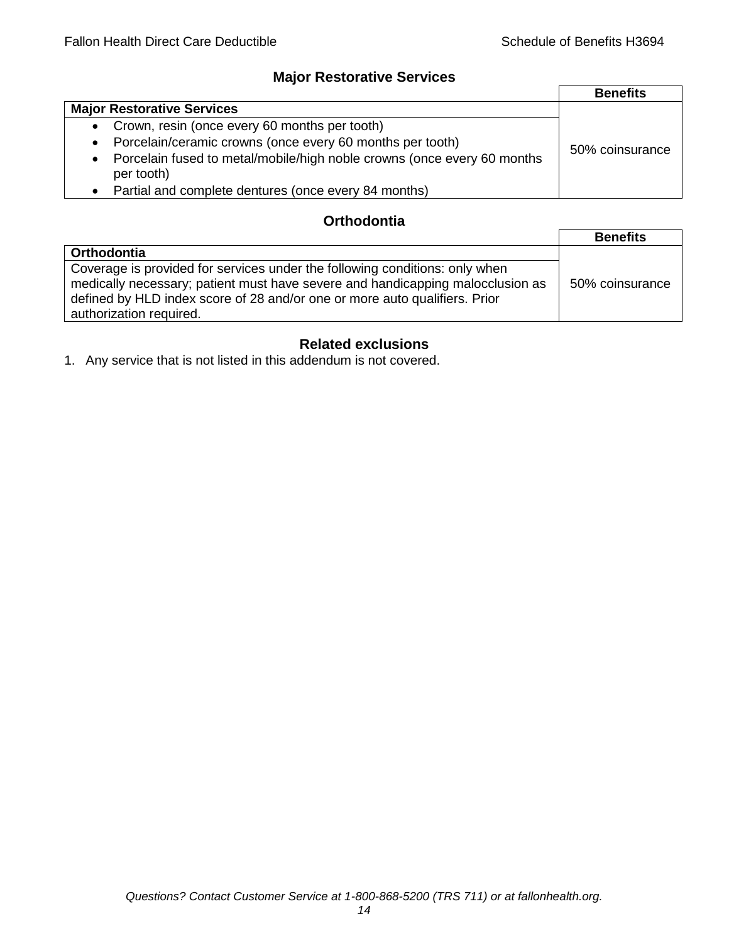# **Major Restorative Services**

|                                                                                                    | <b>Benefits</b> |
|----------------------------------------------------------------------------------------------------|-----------------|
| <b>Major Restorative Services</b>                                                                  |                 |
| • Crown, resin (once every 60 months per tooth)                                                    |                 |
| Porcelain/ceramic crowns (once every 60 months per tooth)<br>$\bullet$                             | 50% coinsurance |
| Porcelain fused to metal/mobile/high noble crowns (once every 60 months<br>$\bullet$<br>per tooth) |                 |
| • Partial and complete dentures (once every 84 months)                                             |                 |

# **Orthodontia**

|                                                                                                                                                                                                                                                                        | <b>Benefits</b> |
|------------------------------------------------------------------------------------------------------------------------------------------------------------------------------------------------------------------------------------------------------------------------|-----------------|
| <b>Orthodontia</b>                                                                                                                                                                                                                                                     |                 |
| Coverage is provided for services under the following conditions: only when<br>medically necessary; patient must have severe and handicapping malocclusion as<br>defined by HLD index score of 28 and/or one or more auto qualifiers. Prior<br>authorization required. | 50% coinsurance |

# **Related exclusions**

1. Any service that is not listed in this addendum is not covered.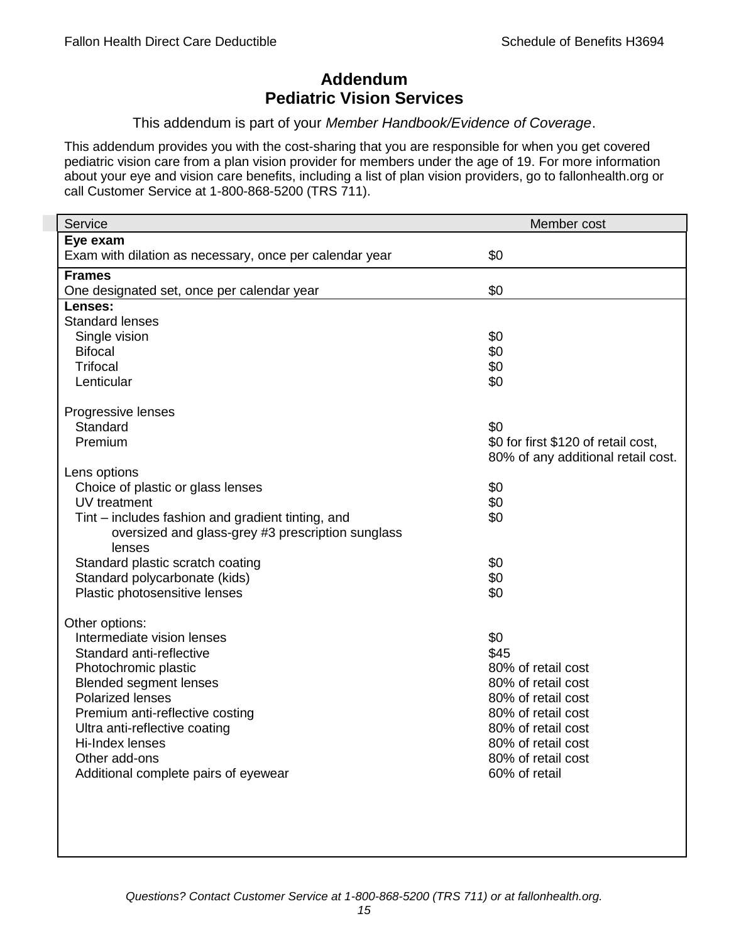# **Addendum Pediatric Vision Services**

## This addendum is part of your *Member Handbook/Evidence of Coverage*.

This addendum provides you with the cost-sharing that you are responsible for when you get covered pediatric vision care from a plan vision provider for members under the age of 19. For more information about your eye and vision care benefits, including a list of plan vision providers, go to fallonhealth.org or call Customer Service at 1-800-868-5200 (TRS 711).

| Service                                                 | Member cost                         |
|---------------------------------------------------------|-------------------------------------|
| Eye exam                                                |                                     |
| Exam with dilation as necessary, once per calendar year | \$0                                 |
| <b>Frames</b>                                           |                                     |
| One designated set, once per calendar year              | \$0                                 |
| Lenses:                                                 |                                     |
| <b>Standard lenses</b>                                  |                                     |
| Single vision                                           | \$0                                 |
| <b>Bifocal</b>                                          | \$0                                 |
| <b>Trifocal</b>                                         | \$0                                 |
| Lenticular                                              | \$0                                 |
| Progressive lenses                                      |                                     |
| Standard                                                | \$0                                 |
| Premium                                                 | \$0 for first \$120 of retail cost, |
|                                                         | 80% of any additional retail cost.  |
| Lens options                                            |                                     |
| Choice of plastic or glass lenses                       | \$0                                 |
| UV treatment                                            | \$0                                 |
| Tint – includes fashion and gradient tinting, and       | \$0                                 |
| oversized and glass-grey #3 prescription sunglass       |                                     |
| lenses                                                  |                                     |
| Standard plastic scratch coating                        | \$0                                 |
| Standard polycarbonate (kids)                           | \$0                                 |
| Plastic photosensitive lenses                           | \$0                                 |
| Other options:                                          |                                     |
| Intermediate vision lenses                              | \$0                                 |
| Standard anti-reflective                                | \$45                                |
| Photochromic plastic                                    | 80% of retail cost                  |
| <b>Blended segment lenses</b>                           | 80% of retail cost                  |
| <b>Polarized lenses</b>                                 | 80% of retail cost                  |
| Premium anti-reflective costing                         | 80% of retail cost                  |
| Ultra anti-reflective coating                           | 80% of retail cost                  |
| Hi-Index lenses                                         | 80% of retail cost                  |
| Other add-ons                                           | 80% of retail cost                  |
| Additional complete pairs of eyewear                    | 60% of retail                       |
|                                                         |                                     |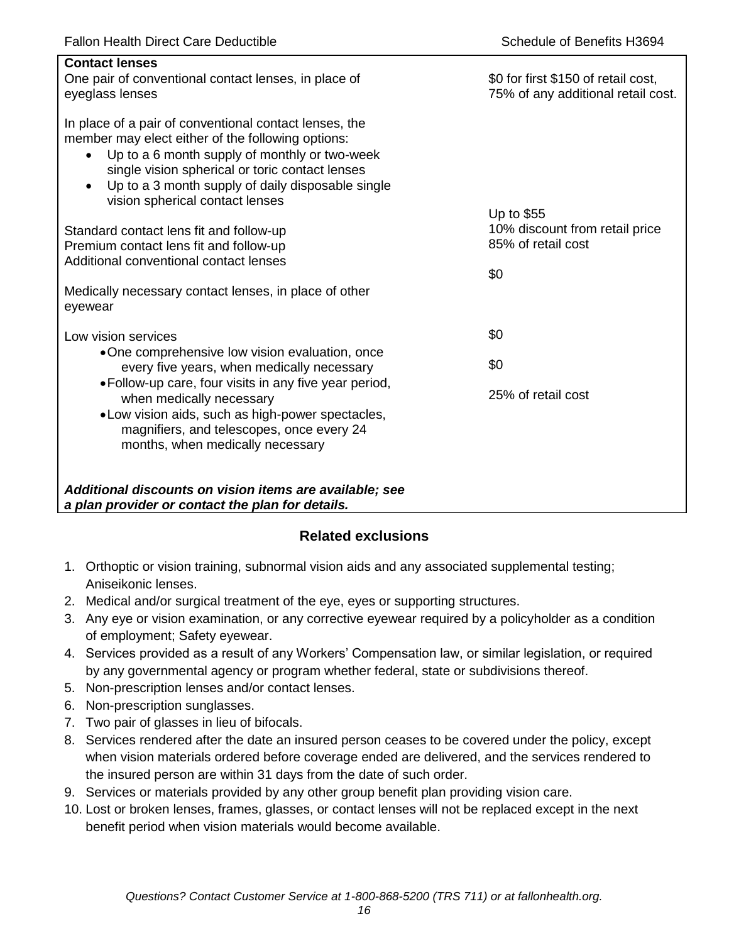| <b>Contact lenses</b><br>One pair of conventional contact lenses, in place of<br>eyeglass lenses                                                                                                                                                                                                                                  | \$0 for first \$150 of retail cost,<br>75% of any additional retail cost. |
|-----------------------------------------------------------------------------------------------------------------------------------------------------------------------------------------------------------------------------------------------------------------------------------------------------------------------------------|---------------------------------------------------------------------------|
| In place of a pair of conventional contact lenses, the<br>member may elect either of the following options:<br>Up to a 6 month supply of monthly or two-week<br>$\bullet$<br>single vision spherical or toric contact lenses<br>Up to a 3 month supply of daily disposable single<br>$\bullet$<br>vision spherical contact lenses |                                                                           |
|                                                                                                                                                                                                                                                                                                                                   | Up to \$55<br>10% discount from retail price                              |
| Standard contact lens fit and follow-up<br>Premium contact lens fit and follow-up                                                                                                                                                                                                                                                 | 85% of retail cost                                                        |
| Additional conventional contact lenses                                                                                                                                                                                                                                                                                            |                                                                           |
|                                                                                                                                                                                                                                                                                                                                   | \$0                                                                       |
| Medically necessary contact lenses, in place of other<br>eyewear                                                                                                                                                                                                                                                                  |                                                                           |
| Low vision services                                                                                                                                                                                                                                                                                                               | \$0                                                                       |
| •One comprehensive low vision evaluation, once<br>every five years, when medically necessary                                                                                                                                                                                                                                      | \$0                                                                       |
| • Follow-up care, four visits in any five year period,<br>when medically necessary<br>.Low vision aids, such as high-power spectacles,<br>magnifiers, and telescopes, once every 24<br>months, when medically necessary                                                                                                           | 25% of retail cost                                                        |
| Additional discounts on vision items are available; see<br>a plan provider or contact the plan for details.                                                                                                                                                                                                                       |                                                                           |

# **Related exclusions**

- 1. Orthoptic or vision training, subnormal vision aids and any associated supplemental testing; Aniseikonic lenses.
- 2. Medical and/or surgical treatment of the eye, eyes or supporting structures.
- 3. Any eye or vision examination, or any corrective eyewear required by a policyholder as a condition of employment; Safety eyewear.
- 4. Services provided as a result of any Workers' Compensation law, or similar legislation, or required by any governmental agency or program whether federal, state or subdivisions thereof.
- 5. Non-prescription lenses and/or contact lenses.
- 6. Non-prescription sunglasses.
- 7. Two pair of glasses in lieu of bifocals.
- 8. Services rendered after the date an insured person ceases to be covered under the policy, except when vision materials ordered before coverage ended are delivered, and the services rendered to the insured person are within 31 days from the date of such order.
- 9. Services or materials provided by any other group benefit plan providing vision care.
- 10. Lost or broken lenses, frames, glasses, or contact lenses will not be replaced except in the next benefit period when vision materials would become available.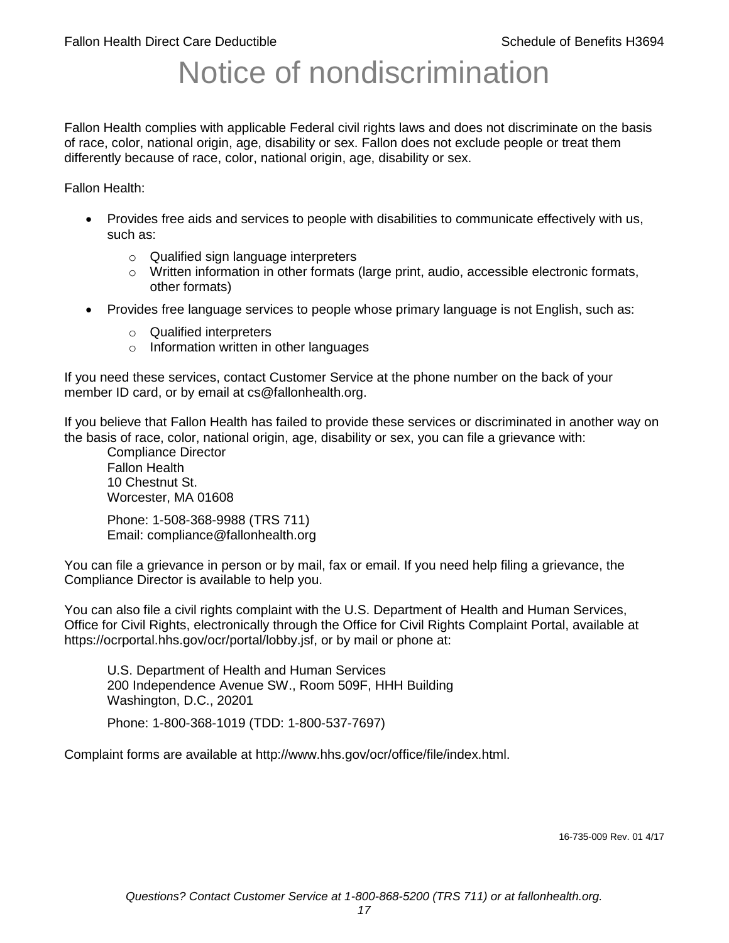# Notice of nondiscrimination

Fallon Health complies with applicable Federal civil rights laws and does not discriminate on the basis of race, color, national origin, age, disability or sex. Fallon does not exclude people or treat them differently because of race, color, national origin, age, disability or sex.

Fallon Health:

- Provides free aids and services to people with disabilities to communicate effectively with us, such as:
	- o Qualified sign language interpreters
	- $\circ$  Written information in other formats (large print, audio, accessible electronic formats, other formats)
- Provides free language services to people whose primary language is not English, such as:
	- o Qualified interpreters
	- o Information written in other languages

If you need these services, contact Customer Service at the phone number on the back of your member ID card, or by email at cs@fallonhealth.org.

If you believe that Fallon Health has failed to provide these services or discriminated in another way on the basis of race, color, national origin, age, disability or sex, you can file a grievance with:

Compliance Director Fallon Health 10 Chestnut St. Worcester, MA 01608

Phone: 1-508-368-9988 (TRS 711) Email: compliance@fallonhealth.org

You can file a grievance in person or by mail, fax or email. If you need help filing a grievance, the Compliance Director is available to help you.

You can also file a civil rights complaint with the U.S. Department of Health and Human Services, Office for Civil Rights, electronically through the Office for Civil Rights Complaint Portal, available at https://ocrportal.hhs.gov/ocr/portal/lobby.jsf, or by mail or phone at:

U.S. Department of Health and Human Services 200 Independence Avenue SW., Room 509F, HHH Building Washington, D.C., 20201

Phone: 1-800-368-1019 (TDD: 1-800-537-7697)

Complaint forms are available at http://www.hhs.gov/ocr/office/file/index.html.

16-735-009 Rev. 01 4/17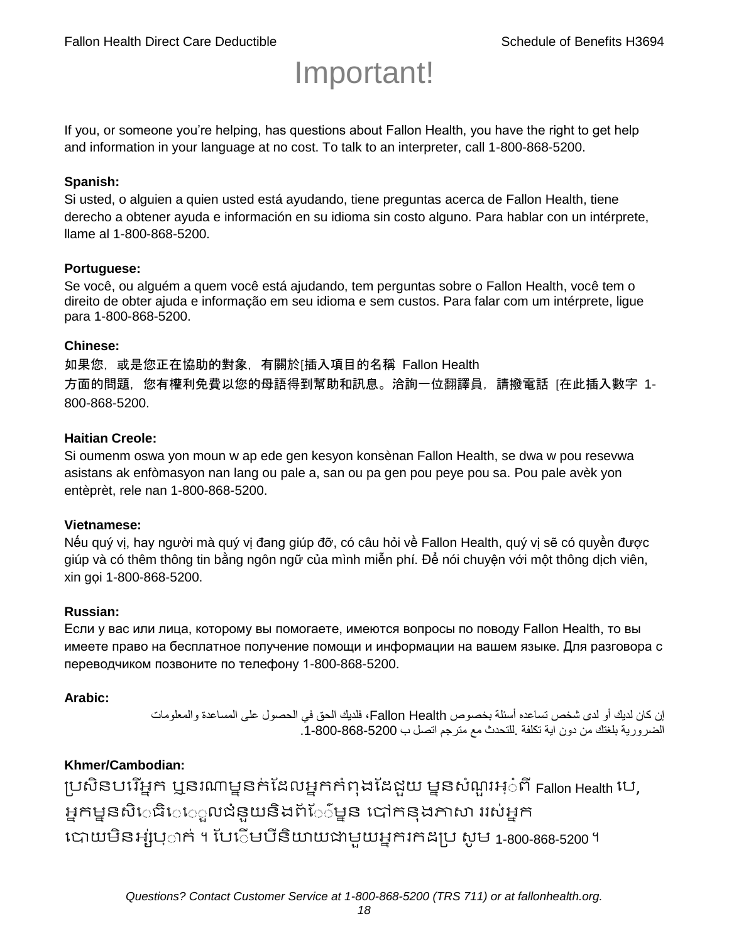# Important!

If you, or someone you're helping, has questions about Fallon Health, you have the right to get help and information in your language at no cost. To talk to an interpreter, call 1-800-868-5200.

#### **Spanish:**

Si usted, o alguien a quien usted está ayudando, tiene preguntas acerca de Fallon Health, tiene derecho a obtener ayuda e información en su idioma sin costo alguno. Para hablar con un intérprete, llame al 1-800-868-5200.

#### **Portuguese:**

Se você, ou alguém a quem você está ajudando, tem perguntas sobre o Fallon Health, você tem o direito de obter ajuda e informação em seu idioma e sem custos. Para falar com um intérprete, ligue para 1-800-868-5200.

#### **Chinese:**

如果您,或是您正在協助的對象,有關於[插入項目的名稱 Fallon Health 方面的問題, 您有權利免費以您的母語得到幫助和訊息。洽詢一位翻譯員, 請撥電話 [在此插入數字 1-800-868-5200.

#### **Haitian Creole:**

Si oumenm oswa yon moun w ap ede gen kesyon konsènan Fallon Health, se dwa w pou resevwa asistans ak enfòmasyon nan lang ou pale a, san ou pa gen pou peye pou sa. Pou pale avèk yon entèprèt, rele nan 1-800-868-5200.

#### **Vietnamese:**

Nếu quý vị, hay người mà quý vị đang giúp đỡ, có câu hỏi về Fallon Health, quý vị sẽ có quyền được giúp và có thêm thông tin bằng ngôn ngữ của mình miễn phí. Để nói chuyện với một thông dịch viên, xin gọi 1-800-868-5200.

#### **Russian:**

Если у вас или лица, которому вы помогаете, имеются вопросы по поводу Fallon Health, то вы имеете право на бесплатное получение помощи и информации на вашем языке. Для разговора с переводчиком позвоните по телефону 1-800-868-5200.

#### **Arabic:**

إن كان لديك أو لدى شخص تساعده أسئلة بخصوص Health Fallon، فلديك الحق في الحصول على المساعدة والمعلومات الضرورية بلغتك من دون اية تكلفة .للتحدث مع مترجم اتصل ب .1-800-868-5200

#### **Khmer/Cambodian:**

ប្រសិនបរើអ្នក ឬនរណាម្ននក់ដែលអ្នកកំពុងដែជយ ម្ននសំណួរអ្៎ពី Fallon Health រប, អ្នកម្ននសិេធិេ្រុលជំនួយនិងព័ែ៌ម្នន បៅកនុងភាសា ររស់អ្នក រោយម្ិនអ្ស់រ្ំ ក់ ។ ដររំម្ រនី ិយាយជាម្ួយអ្នក កែប្រ សូ ម្ 1-800-868-5200 ។